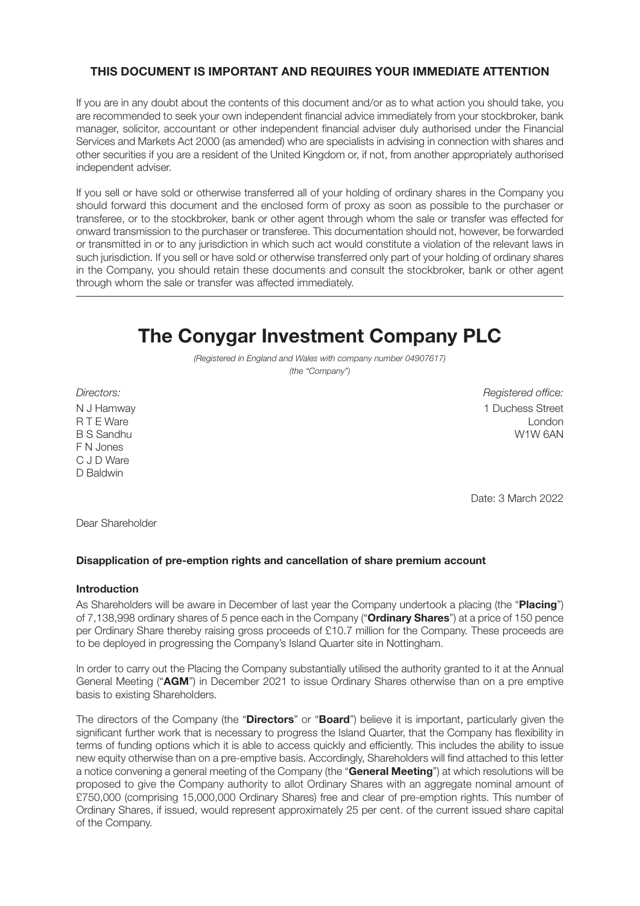### **THIS DOCUMENT IS IMPORTANT AND REQUIRES YOUR IMMEDIATE ATTENTION**

If you are in any doubt about the contents of this document and/or as to what action you should take, you are recommended to seek your own independent financial advice immediately from your stockbroker, bank manager, solicitor, accountant or other independent financial adviser duly authorised under the Financial Services and Markets Act 2000 (as amended) who are specialists in advising in connection with shares and other securities if you are a resident of the United Kingdom or, if not, from another appropriately authorised independent adviser.

If you sell or have sold or otherwise transferred all of your holding of ordinary shares in the Company you should forward this document and the enclosed form of proxy as soon as possible to the purchaser or transferee, or to the stockbroker, bank or other agent through whom the sale or transfer was effected for onward transmission to the purchaser or transferee. This documentation should not, however, be forwarded or transmitted in or to any jurisdiction in which such act would constitute a violation of the relevant laws in such jurisdiction. If you sell or have sold or otherwise transferred only part of your holding of ordinary shares in the Company, you should retain these documents and consult the stockbroker, bank or other agent through whom the sale or transfer was affected immediately.

# **The Conygar Investment Company PLC**

*(Registered in England and Wales with company number 04907617) (the "Company")*

F N Jones C J D Ware D Baldwin

*Directors: Registered office:* N J Hamway 1 Duchess Street<br>R T E Ware 1 Duchess Street R T E Ware London and the United States of the United States of the United States of the United States of the U B S Sandhu W1W 6AN

Date: 3 March 2022

Dear Shareholder

#### **Disapplication of pre-emption rights and cancellation of share premium account**

#### **Introduction**

As Shareholders will be aware in December of last year the Company undertook a placing (the "**Placing**") of 7,138,998 ordinary shares of 5 pence each in the Company ("**Ordinary Shares**") at a price of 150 pence per Ordinary Share thereby raising gross proceeds of £10.7 million for the Company. These proceeds are to be deployed in progressing the Company's Island Quarter site in Nottingham.

In order to carry out the Placing the Company substantially utilised the authority granted to it at the Annual General Meeting ("**AGM**") in December 2021 to issue Ordinary Shares otherwise than on a pre emptive basis to existing Shareholders.

The directors of the Company (the "**Directors**" or "**Board**") believe it is important, particularly given the significant further work that is necessary to progress the Island Quarter, that the Company has flexibility in terms of funding options which it is able to access quickly and efficiently. This includes the ability to issue new equity otherwise than on a pre-emptive basis. Accordingly, Shareholders will find attached to this letter a notice convening a general meeting of the Company (the "**General Meeting**") at which resolutions will be proposed to give the Company authority to allot Ordinary Shares with an aggregate nominal amount of £750,000 (comprising 15,000,000 Ordinary Shares) free and clear of pre-emption rights. This number of Ordinary Shares, if issued, would represent approximately 25 per cent. of the current issued share capital of the Company.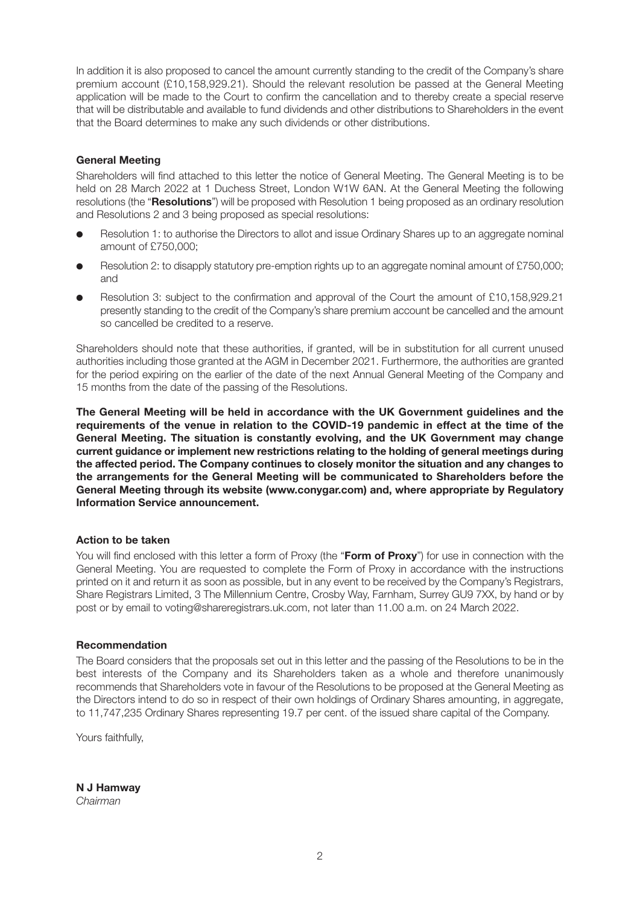In addition it is also proposed to cancel the amount currently standing to the credit of the Company's share premium account (£10,158,929.21). Should the relevant resolution be passed at the General Meeting application will be made to the Court to confirm the cancellation and to thereby create a special reserve that will be distributable and available to fund dividends and other distributions to Shareholders in the event that the Board determines to make any such dividends or other distributions.

### **General Meeting**

Shareholders will find attached to this letter the notice of General Meeting. The General Meeting is to be held on 28 March 2022 at 1 Duchess Street, London W1W 6AN. At the General Meeting the following resolutions (the "**Resolutions**") will be proposed with Resolution 1 being proposed as an ordinary resolution and Resolutions 2 and 3 being proposed as special resolutions:

- Resolution 1: to authorise the Directors to allot and issue Ordinary Shares up to an aggregate nominal amount of £750,000;
- Resolution 2: to disapply statutory pre-emption rights up to an aggregate nominal amount of £750,000; and
- Resolution 3: subject to the confirmation and approval of the Court the amount of £10,158,929.21 presently standing to the credit of the Company's share premium account be cancelled and the amount so cancelled be credited to a reserve.

Shareholders should note that these authorities, if granted, will be in substitution for all current unused authorities including those granted at the AGM in December 2021. Furthermore, the authorities are granted for the period expiring on the earlier of the date of the next Annual General Meeting of the Company and 15 months from the date of the passing of the Resolutions.

**The General Meeting will be held in accordance with the UK Government guidelines and the requirements of the venue in relation to the COVID-19 pandemic in effect at the time of the General Meeting. The situation is constantly evolving, and the UK Government may change current guidance or implement new restrictions relating to the holding of general meetings during the affected period. The Company continues to closely monitor the situation and any changes to the arrangements for the General Meeting will be communicated to Shareholders before the General Meeting through its website (www.conygar.com) and, where appropriate by Regulatory Information Service announcement.**

#### **Action to be taken**

You will find enclosed with this letter a form of Proxy (the "**Form of Proxy**") for use in connection with the General Meeting. You are requested to complete the Form of Proxy in accordance with the instructions printed on it and return it as soon as possible, but in any event to be received by the Company's Registrars, Share Registrars Limited, 3 The Millennium Centre, Crosby Way, Farnham, Surrey GU9 7XX, by hand or by post or by email to voting@shareregistrars.uk.com, not later than 11.00 a.m. on 24 March 2022.

#### **Recommendation**

The Board considers that the proposals set out in this letter and the passing of the Resolutions to be in the best interests of the Company and its Shareholders taken as a whole and therefore unanimously recommends that Shareholders vote in favour of the Resolutions to be proposed at the General Meeting as the Directors intend to do so in respect of their own holdings of Ordinary Shares amounting, in aggregate, to 11,747,235 Ordinary Shares representing 19.7 per cent. of the issued share capital of the Company.

Yours faithfully,

**N J Hamway** *Chairman*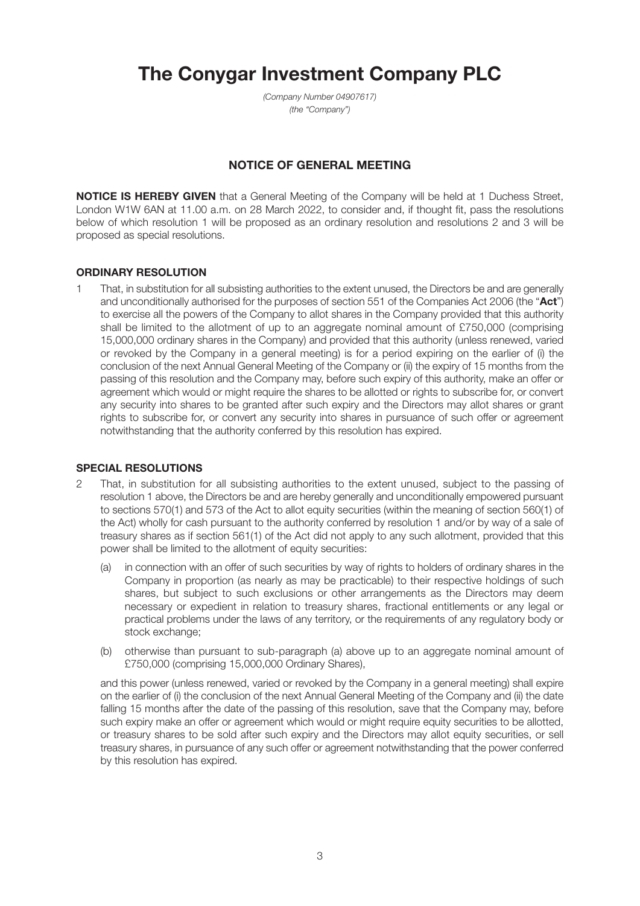# **The Conygar Investment Company PLC**

*(Company Number 04907617) (the "Company")*

## **NOTICE OF GENERAL MEETING**

**NOTICE IS HEREBY GIVEN** that a General Meeting of the Company will be held at 1 Duchess Street, London W1W 6AN at 11.00 a.m. on 28 March 2022, to consider and, if thought fit, pass the resolutions below of which resolution 1 will be proposed as an ordinary resolution and resolutions 2 and 3 will be proposed as special resolutions.

### **ORDINARY RESOLUTION**

1 That, in substitution for all subsisting authorities to the extent unused, the Directors be and are generally and unconditionally authorised for the purposes of section 551 of the Companies Act 2006 (the "**Act**") to exercise all the powers of the Company to allot shares in the Company provided that this authority shall be limited to the allotment of up to an aggregate nominal amount of £750,000 (comprising 15,000,000 ordinary shares in the Company) and provided that this authority (unless renewed, varied or revoked by the Company in a general meeting) is for a period expiring on the earlier of (i) the conclusion of the next Annual General Meeting of the Company or (ii) the expiry of 15 months from the passing of this resolution and the Company may, before such expiry of this authority, make an offer or agreement which would or might require the shares to be allotted or rights to subscribe for, or convert any security into shares to be granted after such expiry and the Directors may allot shares or grant rights to subscribe for, or convert any security into shares in pursuance of such offer or agreement notwithstanding that the authority conferred by this resolution has expired.

#### **SPECIAL RESOLUTIONS**

- 2 That, in substitution for all subsisting authorities to the extent unused, subject to the passing of resolution 1 above, the Directors be and are hereby generally and unconditionally empowered pursuant to sections 570(1) and 573 of the Act to allot equity securities (within the meaning of section 560(1) of the Act) wholly for cash pursuant to the authority conferred by resolution 1 and/or by way of a sale of treasury shares as if section 561(1) of the Act did not apply to any such allotment, provided that this power shall be limited to the allotment of equity securities:
	- (a) in connection with an offer of such securities by way of rights to holders of ordinary shares in the Company in proportion (as nearly as may be practicable) to their respective holdings of such shares, but subject to such exclusions or other arrangements as the Directors may deem necessary or expedient in relation to treasury shares, fractional entitlements or any legal or practical problems under the laws of any territory, or the requirements of any regulatory body or stock exchange;
	- (b) otherwise than pursuant to sub-paragraph (a) above up to an aggregate nominal amount of £750,000 (comprising 15,000,000 Ordinary Shares),

 and this power (unless renewed, varied or revoked by the Company in a general meeting) shall expire on the earlier of (i) the conclusion of the next Annual General Meeting of the Company and (ii) the date falling 15 months after the date of the passing of this resolution, save that the Company may, before such expiry make an offer or agreement which would or might require equity securities to be allotted, or treasury shares to be sold after such expiry and the Directors may allot equity securities, or sell treasury shares, in pursuance of any such offer or agreement notwithstanding that the power conferred by this resolution has expired.